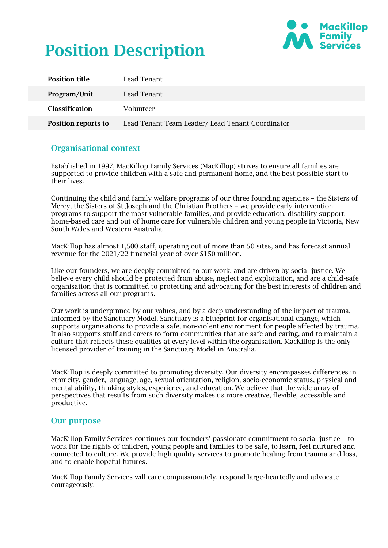

# Position Description

| <b>Position title</b> | Lead Tenant                                     |
|-----------------------|-------------------------------------------------|
| Program/Unit          | Lead Tenant                                     |
| <b>Classification</b> | Volunteer                                       |
| Position reports to   | Lead Tenant Team Leader/Lead Tenant Coordinator |

#### Organisational context

Established in 1997, MacKillop Family Services (MacKillop) strives to ensure all families are supported to provide children with a safe and permanent home, and the best possible start to their lives.

Continuing the child and family welfare programs of our three founding agencies – the Sisters of Mercy, the Sisters of St Joseph and the Christian Brothers – we provide early intervention programs to support the most vulnerable families, and provide education, disability support, home-based care and out of home care for vulnerable children and young people in Victoria, New South Wales and Western Australia.

MacKillop has almost 1,500 staff, operating out of more than 50 sites, and has forecast annual revenue for the 2021/22 financial year of over \$150 million.

Like our founders, we are deeply committed to our work, and are driven by social justice. We believe every child should be protected from abuse, neglect and exploitation, and are a child-safe organisation that is committed to protecting and advocating for the best interests of children and families across all our programs.

Our work is underpinned by our values, and by a deep understanding of the impact of trauma, informed by the Sanctuary Model. Sanctuary is a blueprint for organisational change, which supports organisations to provide a safe, non-violent environment for people affected by trauma. It also supports staff and carers to form communities that are safe and caring, and to maintain a culture that reflects these qualities at every level within the organisation. MacKillop is the only licensed provider of training in the Sanctuary Model in Australia.

MacKillop is deeply committed to promoting diversity. Our diversity encompasses differences in ethnicity, gender, language, age, sexual orientation, religion, socio-economic status, physical and mental ability, thinking styles, experience, and education. We believe that the wide array of perspectives that results from such diversity makes us more creative, flexible, accessible and productive.

#### Our purpose

MacKillop Family Services continues our founders' passionate commitment to social justice – to work for the rights of children, young people and families to be safe, to learn, feel nurtured and connected to culture. We provide high quality services to promote healing from trauma and loss, and to enable hopeful futures.

MacKillop Family Services will care compassionately, respond large-heartedly and advocate courageously.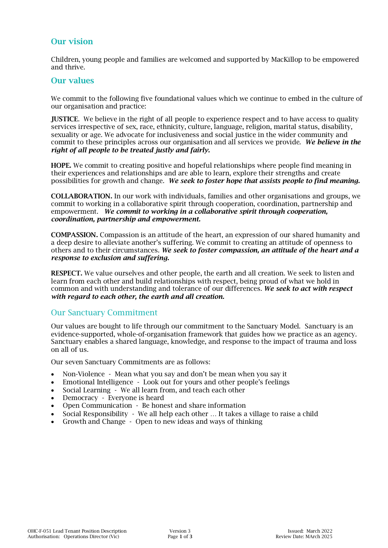#### Our vision

Children, young people and families are welcomed and supported by MacKillop to be empowered and thrive.

#### Our values

We commit to the following five foundational values which we continue to embed in the culture of our organisation and practice:

JUSTICE. We believe in the right of all people to experience respect and to have access to quality services irrespective of sex, race, ethnicity, culture, language, religion, marital status, disability, sexuality or age. We advocate for inclusiveness and social justice in the wider community and commit to these principles across our organisation and all services we provide. *We believe in the right of all people to be treated justly and fairly.*

HOPE. We commit to creating positive and hopeful relationships where people find meaning in their experiences and relationships and are able to learn, explore their strengths and create possibilities for growth and change. *We seek to foster hope that assists people to find meaning.*

COLLABORATION. In our work with individuals, families and other organisations and groups, we commit to working in a collaborative spirit through cooperation, coordination, partnership and empowerment. *We commit to working in a collaborative spirit through cooperation, coordination, partnership and empowerment.*

COMPASSION. Compassion is an attitude of the heart, an expression of our shared humanity and a deep desire to alleviate another's suffering. We commit to creating an attitude of openness to others and to their circumstances. *We seek to foster compassion, an attitude of the heart and a response to exclusion and suffering.* 

RESPECT. We value ourselves and other people, the earth and all creation. We seek to listen and learn from each other and build relationships with respect, being proud of what we hold in common and with understanding and tolerance of our differences. *We seek to act with respect with regard to each other, the earth and all creation.*

#### Our Sanctuary Commitment

Our values are bought to life through our commitment to the Sanctuary Model. Sanctuary is an evidence-supported, whole-of-organisation framework that guides how we practice as an agency. Sanctuary enables a shared language, knowledge, and response to the impact of trauma and loss on all of us.

Our seven Sanctuary Commitments are as follows:

- Non-Violence Mean what you say and don't be mean when you say it
- Emotional Intelligence Look out for yours and other people's feelings
- Social Learning We all learn from, and teach each other
- Democracy Everyone is heard
- Open Communication Be honest and share information
- Social Responsibility We all help each other … It takes a village to raise a child
- Growth and Change Open to new ideas and ways of thinking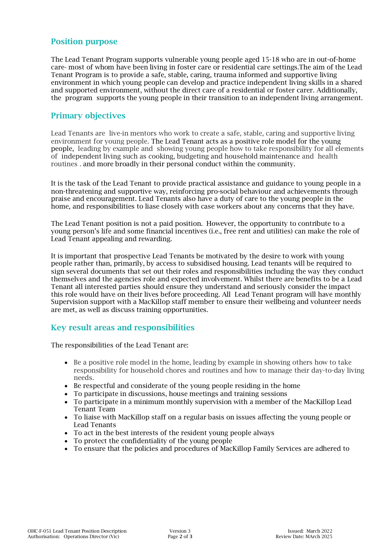#### Position purpose

The Lead Tenant Program supports vulnerable young people aged 15-18 who are in out-of-home care- most of whom have been living in foster care or residential care settings.The aim of the Lead Tenant Program is to provide a safe, stable, caring, trauma informed and supportive living environment in which young people can develop and practice independent living skills in a shared and supported environment, without the direct care of a residential or foster carer. Additionally, the program supports the young people in their transition to an independent living arrangement.

#### Primary objectives

Lead Tenants are live-in mentors who work to create a safe, stable, caring and supportive living environment for young people. The Lead Tenant acts as a positive role model for the young people, leading by example and showing young people how to take responsibility for all elements of independent living such as cooking, budgeting and household maintenance and health routines . and more broadly in their personal conduct within the community.

It is the task of the Lead Tenant to provide practical assistance and guidance to young people in a non-threatening and supportive way, reinforcing pro-social behaviour and achievements through praise and encouragement. Lead Tenants also have a duty of care to the young people in the home, and responsibilities to liase closely with case workers about any concerns that they have.

The Lead Tenant position is not a paid position. However, the opportunity to contribute to a young person's life and some financial incentives (i.e., free rent and utilities) can make the role of Lead Tenant appealing and rewarding.

It is important that prospective Lead Tenants be motivated by the desire to work with young people rather than, primarily, by access to subsidised housing. Lead tenants will be required to sign several documents that set out their roles and responsibilities including the way they conduct themselves and the agencies role and expected involvement. Whilst there are benefits to be a Lead Tenant all interested parties should ensure they understand and seriously consider the impact this role would have on their lives before proceeding. All Lead Tenant program will have monthly Supervision support with a MacKillop staff member to ensure their wellbeing and volunteer needs are met, as well as discuss training opportunities.

### Key result areas and responsibilities

The responsibilities of the Lead Tenant are:

- Be a positive role model in the home, leading by example in showing others how to take responsibility for household chores and routines and how to manage their day-to-day living needs.
- Be respectful and considerate of the young people residing in the home
- To participate in discussions, house meetings and training sessions
- To participate in a minimum monthly supervision with a member of the MacKillop Lead Tenant Team
- To liaise with MacKillop staff on a regular basis on issues affecting the young people or Lead Tenants
- To act in the best interests of the resident young people always
- To protect the confidentiality of the young people
- To ensure that the policies and procedures of MacKillop Family Services are adhered to